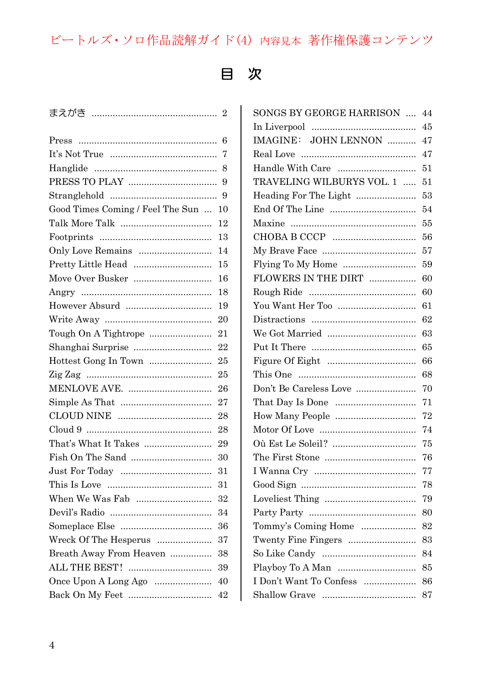## ビートルズ・ソロ作品読解ガイド(4) 内容見本 著作権保護コンテンツ

## 目 次

|                                  | $\overline{2}$ |
|----------------------------------|----------------|
| Press                            | 6              |
|                                  | 7              |
|                                  | 8              |
|                                  | 9              |
|                                  | 9              |
| Good Times Coming / Feel The Sun | 10             |
|                                  | 12             |
|                                  | 13             |
| Only Love Remains                | 14             |
| Pretty Little Head               | 15             |
| Move Over Busker                 | 16             |
|                                  | 18             |
|                                  | 19             |
|                                  | 20             |
| Tough On A Tightrope             | 21             |
| Shanghai Surprise                | 22             |
| Hottest Gong In Town             | 25             |
|                                  | 25             |
|                                  | 26             |
|                                  | 27             |
|                                  | 28             |
|                                  | 28             |
|                                  | 29             |
| Fish On The Sand                 | 30             |
|                                  | 31             |
|                                  | 31             |
| When We Was Fab                  | 32             |
|                                  | 34             |
|                                  | 36             |
| Wreck Of The Hesperus            | 37             |
| Breath Away From Heaven          | 38             |
| ALL THE BEST!                    | 39             |
| Once Upon A Long Ago             | 40             |
|                                  | 42             |

| SONGS BY GEORGE HARRISON  | 44 |
|---------------------------|----|
|                           | 45 |
| IMAGINE: JOHN LENNON      | 47 |
|                           | 47 |
|                           | 51 |
| TRAVELING WILBURYS VOL. 1 | 51 |
| Heading For The Light     | 53 |
|                           | 54 |
|                           | 55 |
|                           | 56 |
|                           | 57 |
| Flying To My Home         | 59 |
| FLOWERS IN THE DIRT       | 60 |
|                           | 60 |
| You Want Her Too          | 61 |
|                           | 62 |
|                           | 63 |
|                           | 65 |
|                           | 66 |
|                           | 68 |
| Don't Be Careless Love    | 70 |
|                           | 71 |
| How Many People           | 72 |
|                           | 74 |
| Où Est Le Soleil?         | 75 |
|                           | 76 |
|                           | 77 |
|                           | 78 |
|                           | 79 |
|                           | 80 |
| Tommy's Coming Home       | 82 |
| Twenty Fine Fingers       | 83 |
|                           | 84 |
| Playboy To A Man          | 85 |
| I Don't Want To Confess   | 86 |
|                           | 87 |